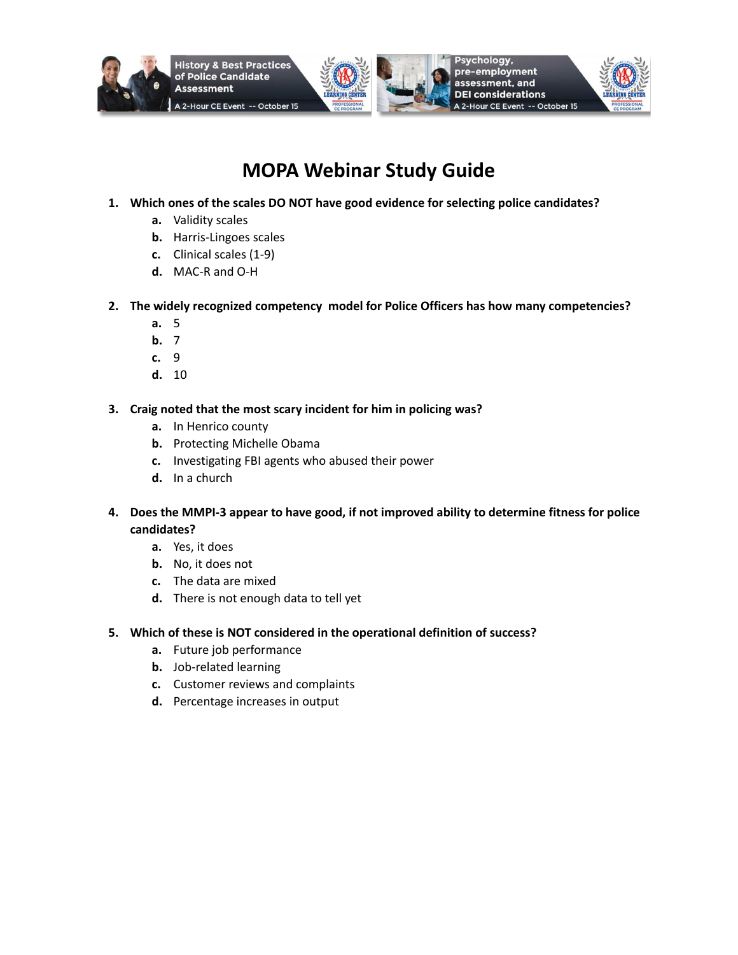







# **MOPA Webinar Study Guide**

- **1. Which ones of the scales DO NOT have good evidence for selecting police candidates?**
	- **a.** Validity scales
	- **b.** Harris-Lingoes scales
	- **c.** Clinical scales (1-9)
	- **d.** MAC-R and O-H
- **2. The widely recognized competency model for Police Officers has how many competencies?**
	- **a.** 5
	- **b.** 7
	- **c.** 9
	- **d.** 10
- **3. Craig noted that the most scary incident for him in policing was?**
	- **a.** In Henrico county
	- **b.** Protecting Michelle Obama
	- **c.** Investigating FBI agents who abused their power
	- **d.** In a church
- **4. Does the MMPI-3 appear to have good, if not improved ability to determine fitness for police candidates?**
	- **a.** Yes, it does
	- **b.** No, it does not
	- **c.** The data are mixed
	- **d.** There is not enough data to tell yet
- **5. Which of these is NOT considered in the operational definition of success?**
	- **a.** Future job performance
	- **b.** Job-related learning
	- **c.** Customer reviews and complaints
	- **d.** Percentage increases in output